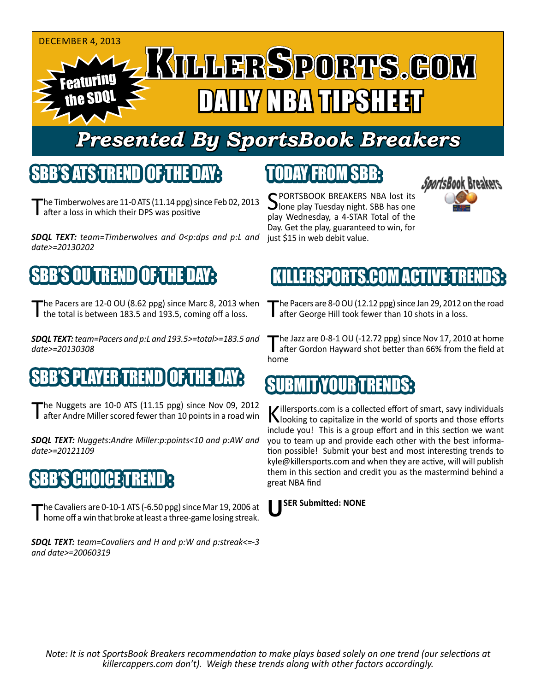#### DECEMBER 4, 2013 **KTLLERSPORTS.GOM** Featuring DAN DAILY NG MARKATER AT the SDQL

# *Presented By SportsBook Breakers*

#### SBB'S ATS TREND OF THE DAY:

he Timberwolves are 11-0 ATS (11.14 ppg) since Feb 02, 2013 **I** after a loss in which their DPS was positive

*SDQL TEXT: team=Timberwolves and 0<p:dps and p:L and date>=20130202*

# 'S OUTREND TO 5THE DA

The Pacers are 12-0 OU (8.62 ppg) since Marc 8, 2013 when the total is between 183.5 and 193.5, coming off a loss.

*SDQL TEXT: team=Pacers and p:L and 193.5>=total>=183.5 and date>=20130308* 

#### SBB'S PLAYER TREND OF THE DAY:

The Nuggets are 10-0 ATS (11.15 ppg) since Nov 09, 2012<br>Tafter Andre Miller scored fewer than 10 points in a road win

*SDQL TEXT: Nuggets:Andre Miller:p:points<10 and p:AW and date>=20121109*

#### **BB'S CHOICE TREND**

The Cavaliers are 0-10-1 ATS (-6.50 ppg) since Mar 19, 2006 at home off a win that broke at least a three-game losing streak.

*SDQL TEXT: team=Cavaliers and H and p:W and p:streak<=-3 and date>=20060319*

### TODAY FROM SBB:

SPORTSBOOK BREAKERS NBA lost its<br>Jone play Tuesday night. SBB has one play Wednesday, a 4-STAR Total of the Day. Get the play, guaranteed to win, for just \$15 in web debit value.



#### ERSPORTS.COM ACTIV

The Pacers are 8-0 OU (12.12 ppg) since Jan 29, 2012 on the road<br>Tafter George Hill took fewer than 10 shots in a loss.

The Jazz are 0-8-1 OU (-12.72 ppg) since Nov 17, 2010 at home<br>after Gordon Hayward shot better than 66% from the field at home

#### BUNIT IYOUR TREN

Killersports.com is a collected effort of smart, savy individuals<br>Nooking to capitalize in the world of sports and those efforts include you! This is a group effort and in this section we want you to team up and provide each other with the best information possible! Submit your best and most interesting trends to kyle@killersports.com and when they are active, will will publish them in this section and credit you as the mastermind behind a great NBA find

**USER Submitted: NONE**

*Note: It is not SportsBook Breakers recommendation to make plays based solely on one trend (our selections at killercappers.com don't). Weigh these trends along with other factors accordingly.*